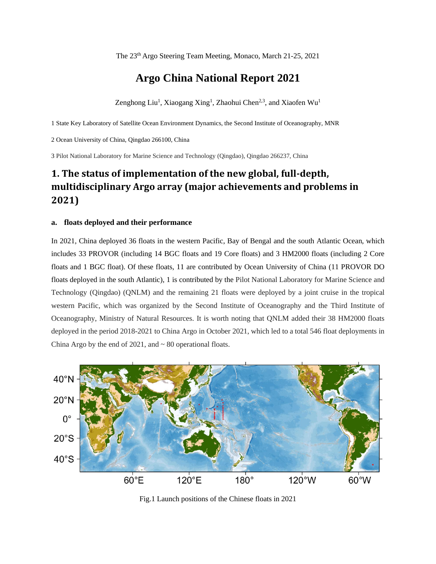The 23<sup>th</sup> Argo Steering Team Meeting, Monaco, March 21-25, 2021

### **Argo China National Report 2021**

Zenghong Liu<sup>1</sup>, Xiaogang Xing<sup>1</sup>, Zhaohui Chen<sup>2,3</sup>, and Xiaofen Wu<sup>1</sup>

1 State Key Laboratory of Satellite Ocean Environment Dynamics, the Second Institute of Oceanography, MNR

2 Ocean University of China, Qingdao 266100, China

3 Pilot National Laboratory for Marine Science and Technology (Qingdao), Qingdao 266237, China

### **1. The status of implementation of the new global, full-depth, multidisciplinary Argo array (major achievements and problems in 2021)**

#### **a. floats deployed and their performance**

In 2021, China deployed 36 floats in the western Pacific, Bay of Bengal and the south Atlantic Ocean, which includes 33 PROVOR (including 14 BGC floats and 19 Core floats) and 3 HM2000 floats (including 2 Core floats and 1 BGC float). Of these floats, 11 are contributed by Ocean University of China (11 PROVOR DO floats deployed in the south Atlantic), 1 is contributed by the Pilot National Laboratory for Marine Science and Technology (Qingdao) (QNLM) and the remaining 21 floats were deployed by a joint cruise in the tropical western Pacific, which was organized by the Second Institute of Oceanography and the Third Institute of Oceanography, Ministry of Natural Resources. It is worth noting that QNLM added their 38 HM2000 floats deployed in the period 2018-2021 to China Argo in October 2021, which led to a total 546 float deployments in China Argo by the end of  $2021$ , and  $\sim 80$  operational floats.



Fig.1 Launch positions of the Chinese floats in 2021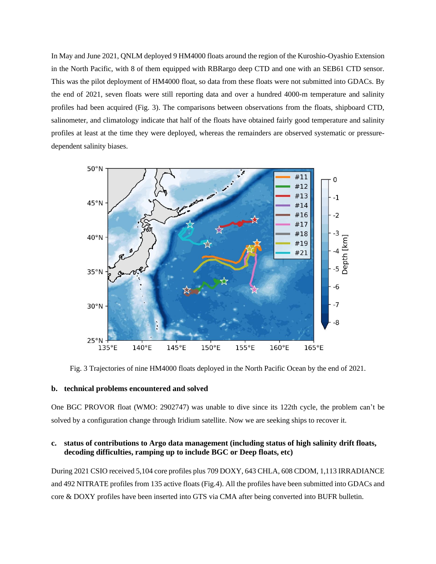In May and June 2021, QNLM deployed 9 HM4000 floats around the region of the Kuroshio-Oyashio Extension in the North Pacific, with 8 of them equipped with RBRargo deep CTD and one with an SEB61 CTD sensor. This was the pilot deployment of HM4000 float, so data from these floats were not submitted into GDACs. By the end of 2021, seven floats were still reporting data and over a hundred 4000-m temperature and salinity profiles had been acquired (Fig. 3). The comparisons between observations from the floats, shipboard CTD, salinometer, and climatology indicate that half of the floats have obtained fairly good temperature and salinity profiles at least at the time they were deployed, whereas the remainders are observed systematic or pressuredependent salinity biases.



Fig. 3 Trajectories of nine HM4000 floats deployed in the North Pacific Ocean by the end of 2021.

#### **b. technical problems encountered and solved**

One BGC PROVOR float (WMO: 2902747) was unable to dive since its 122th cycle, the problem can't be solved by a configuration change through Iridium satellite. Now we are seeking ships to recover it.

#### **c. status of contributions to Argo data management (including status of high salinity drift floats, decoding difficulties, ramping up to include BGC or Deep floats, etc)**

During 2021 CSIO received 5,104 core profiles plus 709 DOXY, 643 CHLA, 608 CDOM, 1,113 IRRADIANCE and 492 NITRATE profiles from 135 active floats (Fig.4). All the profiles have been submitted into GDACs and core & DOXY profiles have been inserted into GTS via CMA after being converted into BUFR bulletin.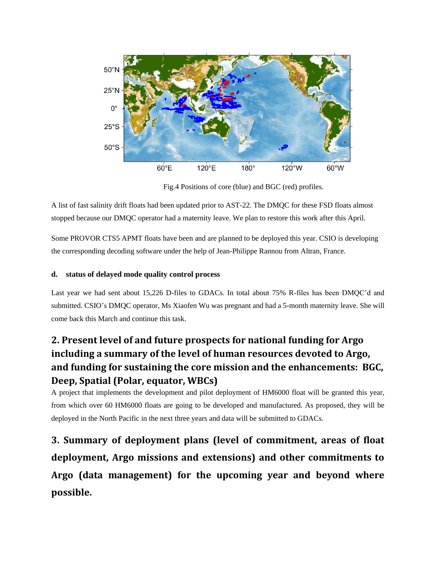

Fig.4 Positions of core (blue) and BGC (red) profiles.

A list of fast salinity drift floats had been updated prior to AST-22. The DMQC for these FSD floats almost stopped because our DMQC operator had a maternity leave. We plan to restore this work after this April.

Some PROVOR CTS5 APMT floats have been and are planned to be deployed this year. CSIO is developing the corresponding decoding software under the help of Jean-Philippe Rannou from Altran, France.

#### **d. status of delayed mode quality control process**

Last year we had sent about 15,226 D-files to GDACs. In total about 75% R-files has been DMQC'd and submitted. CSIO's DMQC operator, Ms Xiaofen Wu was pregnant and had a 5-month maternity leave. She will come back this March and continue this task.

## **2. Present level of and future prospects for national funding for Argo including a summary of the level of human resources devoted to Argo, and funding for sustaining the core mission and the enhancements: BGC, Deep, Spatial (Polar, equator, WBCs)**

A project that implements the development and pilot deployment of HM6000 float will be granted this year, from which over 60 HM6000 floats are going to be developed and manufactured. As proposed, they will be deployed in the North Pacific in the next three years and data will be submitted to GDACs.

**3. Summary of deployment plans (level of commitment, areas of float deployment, Argo missions and extensions) and other commitments to Argo (data management) for the upcoming year and beyond where possible.**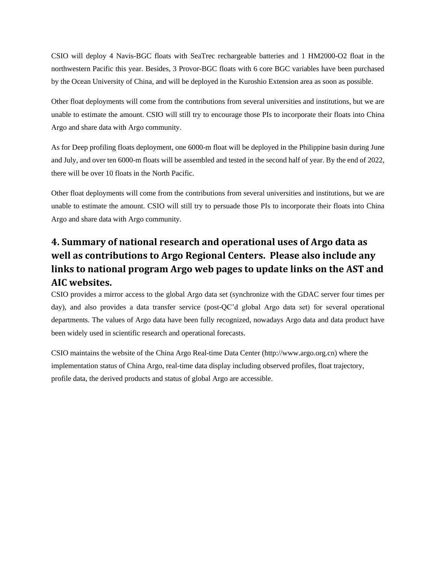CSIO will deploy 4 Navis-BGC floats with SeaTrec rechargeable batteries and 1 HM2000-O2 float in the northwestern Pacific this year. Besides, 3 Provor-BGC floats with 6 core BGC variables have been purchased by the Ocean University of China, and will be deployed in the Kuroshio Extension area as soon as possible.

Other float deployments will come from the contributions from several universities and institutions, but we are unable to estimate the amount. CSIO will still try to encourage those PIs to incorporate their floats into China Argo and share data with Argo community.

As for Deep profiling floats deployment, one 6000-m float will be deployed in the Philippine basin during June and July, and over ten 6000-m floats will be assembled and tested in the second half of year. By the end of 2022, there will be over 10 floats in the North Pacific.

Other float deployments will come from the contributions from several universities and institutions, but we are unable to estimate the amount. CSIO will still try to persuade those PIs to incorporate their floats into China Argo and share data with Argo community.

### **4. Summary of national research and operational uses of Argo data as well as contributions to Argo Regional Centers. Please also include any links to national program Argo web pages to update links on the AST and AIC websites.**

CSIO provides a mirror access to the global Argo data set (synchronize with the GDAC server four times per day), and also provides a data transfer service (post-QC'd global Argo data set) for several operational departments. The values of Argo data have been fully recognized, nowadays Argo data and data product have been widely used in scientific research and operational forecasts.

CSIO maintains the website of the China Argo Real-time Data Center (http://www.argo.org.cn) where the implementation status of China Argo, real-time data display including observed profiles, float trajectory, profile data, the derived products and status of global Argo are accessible.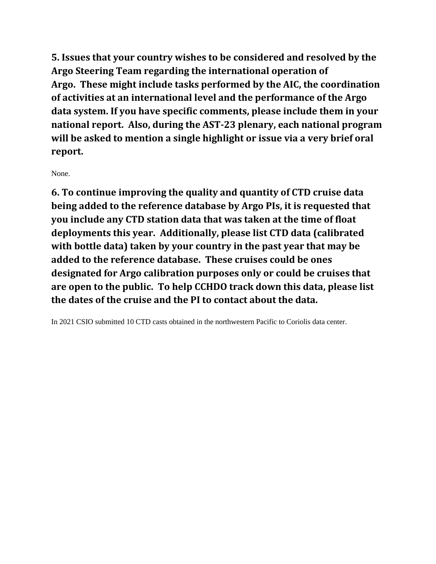**5. Issues that your country wishes to be considered and resolved by the Argo Steering Team regarding the international operation of Argo. These might include tasks performed by the AIC, the coordination of activities at an international level and the performance of the Argo data system. If you have specific comments, please include them in your national report. Also, during the AST-23 plenary, each national program will be asked to mention a single highlight or issue via a very brief oral report.**

None.

**6. To continue improving the quality and quantity of CTD cruise data being added to the reference database by Argo PIs, it is requested that you include any CTD station data that was taken at the time of float deployments this year. Additionally, please list CTD data (calibrated with bottle data) taken by your country in the past year that may be added to the reference database. These cruises could be ones designated for Argo calibration purposes only or could be cruises that are open to the public. To help CCHDO track down this data, please list the dates of the cruise and the PI to contact about the data.**

In 2021 CSIO submitted 10 CTD casts obtained in the northwestern Pacific to Coriolis data center.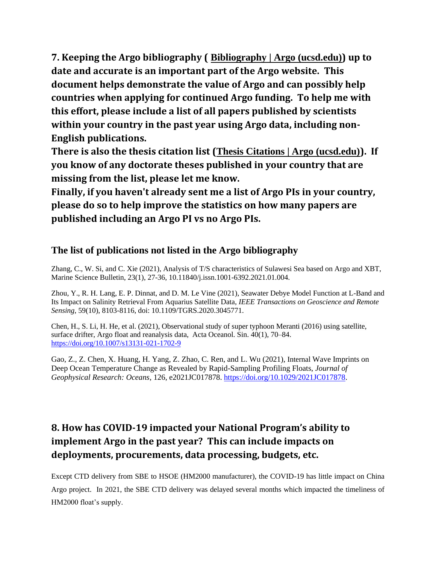**7. Keeping the Argo bibliography ( [Bibliography | Argo \(ucsd.edu\)](https://argo.ucsd.edu/outreach/publications/bibliography/)) up to date and accurate is an important part of the Argo website. This document helps demonstrate the value of Argo and can possibly help countries when applying for continued Argo funding. To help me with this effort, please include a list of all papers published by scientists within your country in the past year using Argo data, including non-English publications.** 

**There is also the thesis citation list ([Thesis Citations | Argo \(ucsd.edu\)](https://argo.ucsd.edu/outreach/publications/thesis-citations/)). If you know of any doctorate theses published in your country that are missing from the list, please let me know.**

**Finally, if you haven't already sent me a list of Argo PIs in your country, please do so to help improve the statistics on how many papers are published including an Argo PI vs no Argo PIs.** 

### **The list of publications not listed in the Argo bibliography**

Zhang, C., W. Si, and C. Xie (2021), Analysis of T/S characteristics of Sulawesi Sea based on Argo and XBT, Marine Science Bulletin, 23(1), 27-36, [10.11840/j.issn.1001-6392.2021.01.004.](http://dx.chinadoi.cn/10.11840/j.issn.1001-6392.2021.01.004)

Zhou, Y., R. H. Lang, E. P. Dinnat, and D. M. Le Vine (2021), Seawater Debye Model Function at L-Band and Its Impact on Salinity Retrieval From Aquarius Satellite Data, *IEEE Transactions on Geoscience and Remote Sensing*, 59(10), 8103-8116, doi: 10.1109/TGRS.2020.3045771.

Chen, H., S. Li, H. He, et al. (2021), Observational study of super typhoon Meranti (2016) using satellite, surface drifter, Argo float and reanalysis data, Acta Oceanol. Sin. 40(1), 70–84. <https://doi.org/10.1007/s13131-021-1702-9>

Gao, Z., Z. Chen, X. Huang, H. Yang, Z. Zhao, C. Ren, and L. Wu (2021), Internal Wave Imprints on Deep Ocean Temperature Change as Revealed by Rapid-Sampling Profiling Floats, *Journal of Geophysical Research: Oceans*, 126, e2021JC017878. [https://doi.org/10.1029/2021JC017878.](https://doi.org/10.1029/2021JC017878)

# **8. How has COVID-19 impacted your National Program's ability to implement Argo in the past year? This can include impacts on deployments, procurements, data processing, budgets, etc.**

Except CTD delivery from SBE to HSOE (HM2000 manufacturer), the COVID-19 has little impact on China Argo project. In 2021, the SBE CTD delivery was delayed several months which impacted the timeliness of HM2000 float's supply.